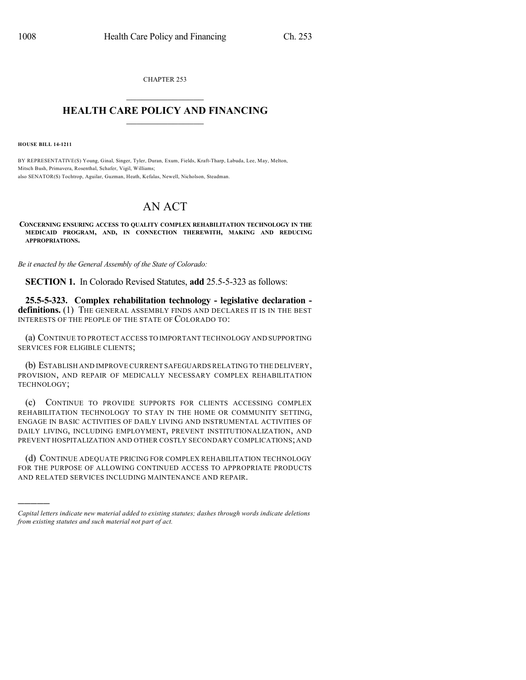CHAPTER 253  $\overline{\phantom{a}}$  . The set of the set of the set of the set of the set of the set of the set of the set of the set of the set of the set of the set of the set of the set of the set of the set of the set of the set of the set o

## **HEALTH CARE POLICY AND FINANCING**  $\_$   $\_$   $\_$   $\_$   $\_$   $\_$   $\_$   $\_$

**HOUSE BILL 14-1211**

)))))

BY REPRESENTATIVE(S) Young, Ginal, Singer, Tyler, Duran, Exum, Fields, Kraft-Tharp, Labuda, Lee, May, Melton, Mitsch Bush, Primavera, Rosenthal, Schafer, Vigil, Williams; also SENATOR(S) Tochtrop, Aguilar, Guzman, Heath, Kefalas, Newell, Nicholson, Steadman.

## AN ACT

**CONCERNING ENSURING ACCESS TO QUALITY COMPLEX REHABILITATION TECHNOLOGY IN THE MEDICAID PROGRAM, AND, IN CONNECTION THEREWITH, MAKING AND REDUCING APPROPRIATIONS.**

*Be it enacted by the General Assembly of the State of Colorado:*

**SECTION 1.** In Colorado Revised Statutes, **add** 25.5-5-323 as follows:

**25.5-5-323. Complex rehabilitation technology - legislative declaration**  definitions. (1) THE GENERAL ASSEMBLY FINDS AND DECLARES IT IS IN THE BEST INTERESTS OF THE PEOPLE OF THE STATE OF COLORADO TO:

(a) CONTINUE TO PROTECT ACCESS TO IMPORTANT TECHNOLOGY AND SUPPORTING SERVICES FOR ELIGIBLE CLIENTS;

(b) ESTABLISH AND IMPROVE CURRENT SAFEGUARDS RELATING TO THE DELIVERY, PROVISION, AND REPAIR OF MEDICALLY NECESSARY COMPLEX REHABILITATION TECHNOLOGY;

(c) CONTINUE TO PROVIDE SUPPORTS FOR CLIENTS ACCESSING COMPLEX REHABILITATION TECHNOLOGY TO STAY IN THE HOME OR COMMUNITY SETTING, ENGAGE IN BASIC ACTIVITIES OF DAILY LIVING AND INSTRUMENTAL ACTIVITIES OF DAILY LIVING, INCLUDING EMPLOYMENT, PREVENT INSTITUTIONALIZATION, AND PREVENT HOSPITALIZATION AND OTHER COSTLY SECONDARY COMPLICATIONS; AND

(d) CONTINUE ADEQUATE PRICING FOR COMPLEX REHABILITATION TECHNOLOGY FOR THE PURPOSE OF ALLOWING CONTINUED ACCESS TO APPROPRIATE PRODUCTS AND RELATED SERVICES INCLUDING MAINTENANCE AND REPAIR.

*Capital letters indicate new material added to existing statutes; dashes through words indicate deletions from existing statutes and such material not part of act.*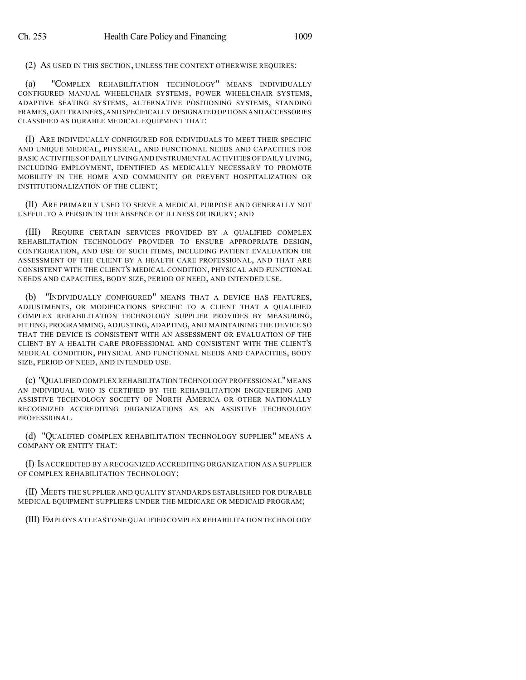(2) AS USED IN THIS SECTION, UNLESS THE CONTEXT OTHERWISE REQUIRES:

(a) "COMPLEX REHABILITATION TECHNOLOGY" MEANS INDIVIDUALLY CONFIGURED MANUAL WHEELCHAIR SYSTEMS, POWER WHEELCHAIR SYSTEMS, ADAPTIVE SEATING SYSTEMS, ALTERNATIVE POSITIONING SYSTEMS, STANDING FRAMES,GAIT TRAINERS,AND SPECIFICALLY DESIGNATED OPTIONS AND ACCESSORIES CLASSIFIED AS DURABLE MEDICAL EQUIPMENT THAT:

(I) ARE INDIVIDUALLY CONFIGURED FOR INDIVIDUALS TO MEET THEIR SPECIFIC AND UNIQUE MEDICAL, PHYSICAL, AND FUNCTIONAL NEEDS AND CAPACITIES FOR BASIC ACTIVITIES OF DAILY LIVING AND INSTRUMENTAL ACTIVITIES OF DAILY LIVING, INCLUDING EMPLOYMENT, IDENTIFIED AS MEDICALLY NECESSARY TO PROMOTE MOBILITY IN THE HOME AND COMMUNITY OR PREVENT HOSPITALIZATION OR INSTITUTIONALIZATION OF THE CLIENT;

(II) ARE PRIMARILY USED TO SERVE A MEDICAL PURPOSE AND GENERALLY NOT USEFUL TO A PERSON IN THE ABSENCE OF ILLNESS OR INJURY; AND

(III) REQUIRE CERTAIN SERVICES PROVIDED BY A QUALIFIED COMPLEX REHABILITATION TECHNOLOGY PROVIDER TO ENSURE APPROPRIATE DESIGN, CONFIGURATION, AND USE OF SUCH ITEMS, INCLUDING PATIENT EVALUATION OR ASSESSMENT OF THE CLIENT BY A HEALTH CARE PROFESSIONAL, AND THAT ARE CONSISTENT WITH THE CLIENT'S MEDICAL CONDITION, PHYSICAL AND FUNCTIONAL NEEDS AND CAPACITIES, BODY SIZE, PERIOD OF NEED, AND INTENDED USE.

(b) "INDIVIDUALLY CONFIGURED" MEANS THAT A DEVICE HAS FEATURES, ADJUSTMENTS, OR MODIFICATIONS SPECIFIC TO A CLIENT THAT A QUALIFIED COMPLEX REHABILITATION TECHNOLOGY SUPPLIER PROVIDES BY MEASURING, FITTING, PROGRAMMING, ADJUSTING, ADAPTING, AND MAINTAINING THE DEVICE SO THAT THE DEVICE IS CONSISTENT WITH AN ASSESSMENT OR EVALUATION OF THE CLIENT BY A HEALTH CARE PROFESSIONAL AND CONSISTENT WITH THE CLIENT'S MEDICAL CONDITION, PHYSICAL AND FUNCTIONAL NEEDS AND CAPACITIES, BODY SIZE, PERIOD OF NEED, AND INTENDED USE.

(c) "QUALIFIED COMPLEX REHABILITATION TECHNOLOGY PROFESSIONAL"MEANS AN INDIVIDUAL WHO IS CERTIFIED BY THE REHABILITATION ENGINEERING AND ASSISTIVE TECHNOLOGY SOCIETY OF NORTH AMERICA OR OTHER NATIONALLY RECOGNIZED ACCREDITING ORGANIZATIONS AS AN ASSISTIVE TECHNOLOGY PROFESSIONAL.

(d) "QUALIFIED COMPLEX REHABILITATION TECHNOLOGY SUPPLIER" MEANS A COMPANY OR ENTITY THAT:

(I) IS ACCREDITED BY A RECOGNIZED ACCREDITING ORGANIZATION AS A SUPPLIER OF COMPLEX REHABILITATION TECHNOLOGY;

(II) MEETS THE SUPPLIER AND QUALITY STANDARDS ESTABLISHED FOR DURABLE MEDICAL EQUIPMENT SUPPLIERS UNDER THE MEDICARE OR MEDICAID PROGRAM;

(III) EMPLOYS AT LEAST ONE QUALIFIED COMPLEX REHABILITATION TECHNOLOGY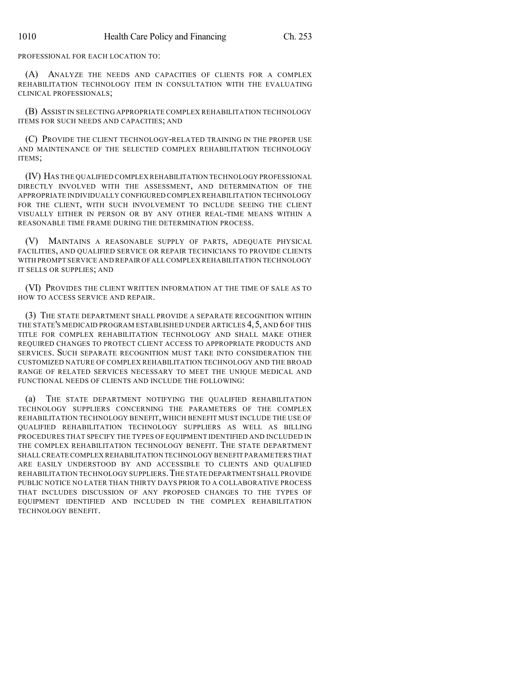PROFESSIONAL FOR EACH LOCATION TO:

(A) ANALYZE THE NEEDS AND CAPACITIES OF CLIENTS FOR A COMPLEX REHABILITATION TECHNOLOGY ITEM IN CONSULTATION WITH THE EVALUATING CLINICAL PROFESSIONALS;

(B) ASSIST IN SELECTING APPROPRIATE COMPLEX REHABILITATION TECHNOLOGY ITEMS FOR SUCH NEEDS AND CAPACITIES; AND

(C) PROVIDE THE CLIENT TECHNOLOGY-RELATED TRAINING IN THE PROPER USE AND MAINTENANCE OF THE SELECTED COMPLEX REHABILITATION TECHNOLOGY ITEMS;

(IV) HAS THE QUALIFIED COMPLEX REHABILITATION TECHNOLOGY PROFESSIONAL DIRECTLY INVOLVED WITH THE ASSESSMENT, AND DETERMINATION OF THE APPROPRIATE INDIVIDUALLY CONFIGURED COMPLEX REHABILITATION TECHNOLOGY FOR THE CLIENT, WITH SUCH INVOLVEMENT TO INCLUDE SEEING THE CLIENT VISUALLY EITHER IN PERSON OR BY ANY OTHER REAL-TIME MEANS WITHIN A REASONABLE TIME FRAME DURING THE DETERMINATION PROCESS.

(V) MAINTAINS A REASONABLE SUPPLY OF PARTS, ADEQUATE PHYSICAL FACILITIES, AND QUALIFIED SERVICE OR REPAIR TECHNICIANS TO PROVIDE CLIENTS WITH PROMPT SERVICE AND REPAIR OFALL COMPLEX REHABILITATION TECHNOLOGY IT SELLS OR SUPPLIES; AND

(VI) PROVIDES THE CLIENT WRITTEN INFORMATION AT THE TIME OF SALE AS TO HOW TO ACCESS SERVICE AND REPAIR.

(3) THE STATE DEPARTMENT SHALL PROVIDE A SEPARATE RECOGNITION WITHIN THE STATE'S MEDICAID PROGRAM ESTABLISHED UNDER ARTICLES 4, 5, AND 6 OF THIS TITLE FOR COMPLEX REHABILITATION TECHNOLOGY AND SHALL MAKE OTHER REQUIRED CHANGES TO PROTECT CLIENT ACCESS TO APPROPRIATE PRODUCTS AND SERVICES. SUCH SEPARATE RECOGNITION MUST TAKE INTO CONSIDERATION THE CUSTOMIZED NATURE OF COMPLEX REHABILITATION TECHNOLOGY AND THE BROAD RANGE OF RELATED SERVICES NECESSARY TO MEET THE UNIQUE MEDICAL AND FUNCTIONAL NEEDS OF CLIENTS AND INCLUDE THE FOLLOWING:

(a) THE STATE DEPARTMENT NOTIFYING THE QUALIFIED REHABILITATION TECHNOLOGY SUPPLIERS CONCERNING THE PARAMETERS OF THE COMPLEX REHABILITATION TECHNOLOGY BENEFIT, WHICH BENEFIT MUST INCLUDE THE USE OF QUALIFIED REHABILITATION TECHNOLOGY SUPPLIERS AS WELL AS BILLING PROCEDURES THAT SPECIFY THE TYPES OF EQUIPMENT IDENTIFIED AND INCLUDED IN THE COMPLEX REHABILITATION TECHNOLOGY BENEFIT. THE STATE DEPARTMENT SHALL CREATE COMPLEX REHABILITATION TECHNOLOGY BENEFIT PARAMETERS THAT ARE EASILY UNDERSTOOD BY AND ACCESSIBLE TO CLIENTS AND QUALIFIED REHABILITATION TECHNOLOGY SUPPLIERS.THE STATE DEPARTMENT SHALL PROVIDE PUBLIC NOTICE NO LATER THAN THIRTY DAYS PRIOR TO A COLLABORATIVE PROCESS THAT INCLUDES DISCUSSION OF ANY PROPOSED CHANGES TO THE TYPES OF EQUIPMENT IDENTIFIED AND INCLUDED IN THE COMPLEX REHABILITATION TECHNOLOGY BENEFIT.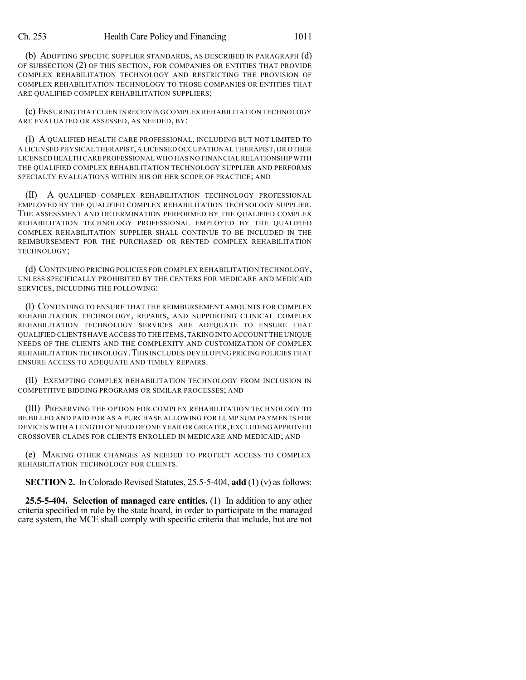## Ch. 253 Health Care Policy and Financing 1011

(b) ADOPTING SPECIFIC SUPPLIER STANDARDS, AS DESCRIBED IN PARAGRAPH (d) OF SUBSECTION (2) OF THIS SECTION, FOR COMPANIES OR ENTITIES THAT PROVIDE COMPLEX REHABILITATION TECHNOLOGY AND RESTRICTING THE PROVISION OF COMPLEX REHABILITATION TECHNOLOGY TO THOSE COMPANIES OR ENTITIES THAT ARE QUALIFIED COMPLEX REHABILITATION SUPPLIERS;

(c) ENSURING THAT CLIENTSRECEIVINGCOMPLEX REHABILITATION TECHNOLOGY ARE EVALUATED OR ASSESSED, AS NEEDED, BY:

(I) A QUALIFIED HEALTH CARE PROFESSIONAL, INCLUDING BUT NOT LIMITED TO A LICENSED PHYSICAL THERAPIST,A LICENSED OCCUPATIONAL THERAPIST,OR OTHER LICENSED HEALTH CARE PROFESSIONAL WHO HAS NO FINANCIALRELATIONSHIP WITH THE QUALIFIED COMPLEX REHABILITATION TECHNOLOGY SUPPLIER AND PERFORMS SPECIALTY EVALUATIONS WITHIN HIS OR HER SCOPE OF PRACTICE; AND

(II) A QUALIFIED COMPLEX REHABILITATION TECHNOLOGY PROFESSIONAL EMPLOYED BY THE QUALIFIED COMPLEX REHABILITATION TECHNOLOGY SUPPLIER. THE ASSESSMENT AND DETERMINATION PERFORMED BY THE QUALIFIED COMPLEX REHABILITATION TECHNOLOGY PROFESSIONAL EMPLOYED BY THE QUALIFIED COMPLEX REHABILITATION SUPPLIER SHALL CONTINUE TO BE INCLUDED IN THE REIMBURSEMENT FOR THE PURCHASED OR RENTED COMPLEX REHABILITATION TECHNOLOGY;

(d) CONTINUING PRICING POLICIES FOR COMPLEX REHABILITATION TECHNOLOGY, UNLESS SPECIFICALLY PROHIBITED BY THE CENTERS FOR MEDICARE AND MEDICAID SERVICES, INCLUDING THE FOLLOWING:

(I) CONTINUING TO ENSURE THAT THE REIMBURSEMENT AMOUNTS FOR COMPLEX REHABILITATION TECHNOLOGY, REPAIRS, AND SUPPORTING CLINICAL COMPLEX REHABILITATION TECHNOLOGY SERVICES ARE ADEQUATE TO ENSURE THAT QUALIFIED CLIENTS HAVE ACCESS TO THE ITEMS,TAKING INTO ACCOUNT THE UNIQUE NEEDS OF THE CLIENTS AND THE COMPLEXITY AND CUSTOMIZATION OF COMPLEX REHABILITATION TECHNOLOGY.THIS INCLUDES DEVELOPINGPRICINGPOLICIES THAT ENSURE ACCESS TO ADEQUATE AND TIMELY REPAIRS.

(II) EXEMPTING COMPLEX REHABILITATION TECHNOLOGY FROM INCLUSION IN COMPETITIVE BIDDING PROGRAMS OR SIMILAR PROCESSES; AND

(III) PRESERVING THE OPTION FOR COMPLEX REHABILITATION TECHNOLOGY TO BE BILLED AND PAID FOR AS A PURCHASE ALLOWING FOR LUMP SUM PAYMENTS FOR DEVICES WITH A LENGTH OF NEED OF ONE YEAR OR GREATER,EXCLUDING APPROVED CROSSOVER CLAIMS FOR CLIENTS ENROLLED IN MEDICARE AND MEDICAID; AND

(e) MAKING OTHER CHANGES AS NEEDED TO PROTECT ACCESS TO COMPLEX REHABILITATION TECHNOLOGY FOR CLIENTS.

**SECTION 2.** In Colorado Revised Statutes, 25.5-5-404, **add** (1) (v) as follows:

**25.5-5-404. Selection of managed care entities.** (1) In addition to any other criteria specified in rule by the state board, in order to participate in the managed care system, the MCE shall comply with specific criteria that include, but are not